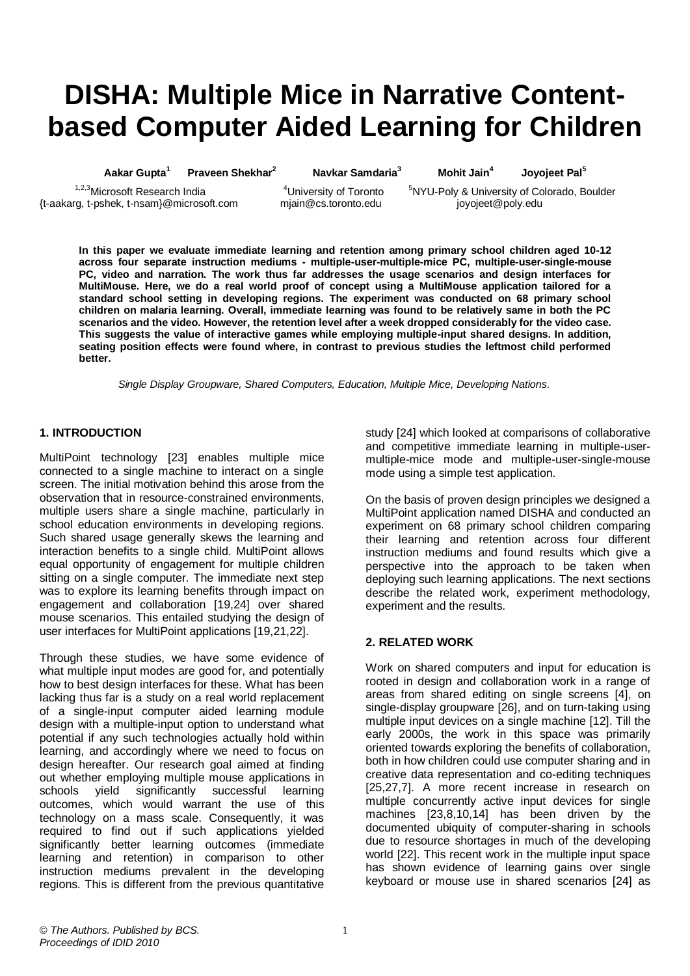# **DISHA: Multiple Mice in Narrative Contentbased Computer Aided Learning for Children**

**Aakar Gupta<sup>1</sup> Praveen Shekhar<sup>2</sup> Navkar Samdaria<sup>3</sup> Mohit Jain<sup>4</sup>**

**Joyojeet Pal<sup>5</sup>**

{t-aakarg, t-pshek, t-nsam}@microsoft.com mjain@cs.toronto.edu joyojeet@poly.edu

<sup>1,2,3</sup>Microsoft Research India **4**University of Toronto <sup>5</sup>NYU-Poly & University of Colorado, Boulder

**In this paper we evaluate immediate learning and retention among primary school children aged 10-12 across four separate instruction mediums - multiple-user-multiple-mice PC, multiple-user-single-mouse PC, video and narration. The work thus far addresses the usage scenarios and design interfaces for MultiMouse. Here, we do a real world proof of concept using a MultiMouse application tailored for a standard school setting in developing regions. The experiment was conducted on 68 primary school children on malaria learning. Overall, immediate learning was found to be relatively same in both the PC scenarios and the video. However, the retention level after a week dropped considerably for the video case. This suggests the value of interactive games while employing multiple-input shared designs. In addition, seating position effects were found where, in contrast to previous studies the leftmost child performed better.**

*Single Display Groupware, Shared Computers, Education, Multiple Mice, Developing Nations.*

#### **1. INTRODUCTION**

MultiPoint technology [23] enables multiple mice connected to a single machine to interact on a single screen. The initial motivation behind this arose from the observation that in resource-constrained environments, multiple users share a single machine, particularly in school education environments in developing regions. Such shared usage generally skews the learning and interaction benefits to a single child. MultiPoint allows equal opportunity of engagement for multiple children sitting on a single computer. The immediate next step was to explore its learning benefits through impact on engagement and collaboration [19,24] over shared mouse scenarios. This entailed studying the design of user interfaces for MultiPoint applications [19,21,22].

Through these studies, we have some evidence of what multiple input modes are good for, and potentially how to best design interfaces for these. What has been lacking thus far is a study on a real world replacement of a single-input computer aided learning module design with a multiple-input option to understand what potential if any such technologies actually hold within learning, and accordingly where we need to focus on design hereafter. Our research goal aimed at finding out whether employing multiple mouse applications in schools yield significantly successful learning schools yield significantly successful learning outcomes, which would warrant the use of this technology on a mass scale. Consequently, it was required to find out if such applications yielded significantly better learning outcomes (immediate learning and retention) in comparison to other instruction mediums prevalent in the developing regions. This is different from the previous quantitative study [24] which looked at comparisons of collaborative and competitive immediate learning in multiple-usermultiple-mice mode and multiple-user-single-mouse mode using a simple test application.

On the basis of proven design principles we designed a MultiPoint application named DISHA and conducted an experiment on 68 primary school children comparing their learning and retention across four different instruction mediums and found results which give a perspective into the approach to be taken when deploying such learning applications. The next sections describe the related work, experiment methodology, experiment and the results.

#### **2. RELATED WORK**

Work on shared computers and input for education is rooted in design and collaboration work in a range of areas from shared editing on single screens [4], on single-display groupware [26], and on turn-taking using multiple input devices on a single machine [12]. Till the early 2000s, the work in this space was primarily oriented towards exploring the benefits of collaboration, both in how children could use computer sharing and in creative data representation and co-editing techniques [25,27,7]. A more recent increase in research on multiple concurrently active input devices for single machines [23,8,10,14] has been driven by the documented ubiquity of computer-sharing in schools due to resource shortages in much of the developing world [22]. This recent work in the multiple input space has shown evidence of learning gains over single keyboard or mouse use in shared scenarios [24] as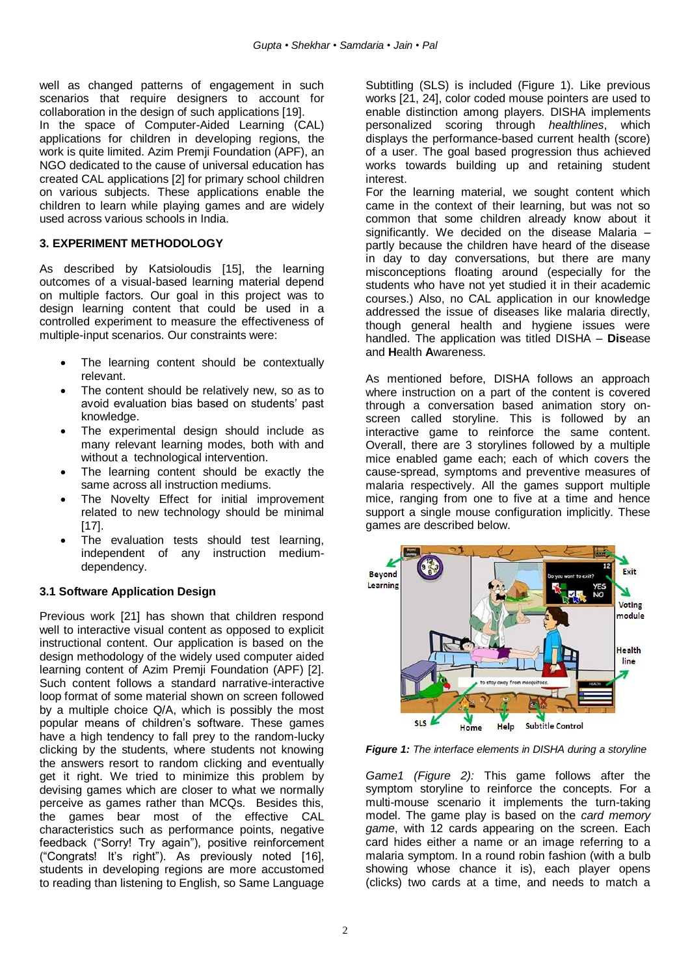well as changed patterns of engagement in such scenarios that require designers to account for collaboration in the design of such applications [19].

In the space of Computer-Aided Learning (CAL) applications for children in developing regions, the work is quite limited. Azim Premji Foundation (APF), an NGO dedicated to the cause of universal education has created CAL applications [2] for primary school children on various subjects. These applications enable the children to learn while playing games and are widely used across various schools in India.

## **3. EXPERIMENT METHODOLOGY**

As described by Katsioloudis [15], the learning outcomes of a visual-based learning material depend on multiple factors. Our goal in this project was to design learning content that could be used in a controlled experiment to measure the effectiveness of multiple-input scenarios. Our constraints were:

- The learning content should be contextually relevant.
- The content should be relatively new, so as to avoid evaluation bias based on students" past knowledge.
- The experimental design should include as many relevant learning modes, both with and without a technological intervention.
- The learning content should be exactly the same across all instruction mediums.
- The Novelty Effect for initial improvement related to new technology should be minimal [17].
- The evaluation tests should test learning, independent of any instruction mediumdependency.

## **3.1 Software Application Design**

Previous work [21] has shown that children respond well to interactive visual content as opposed to explicit instructional content. Our application is based on the design methodology of the widely used computer aided learning content of Azim Premji Foundation (APF) [2]. Such content follows a standard narrative-interactive loop format of some material shown on screen followed by a multiple choice Q/A, which is possibly the most popular means of children"s software. These games have a high tendency to fall prey to the random-lucky clicking by the students, where students not knowing the answers resort to random clicking and eventually get it right. We tried to minimize this problem by devising games which are closer to what we normally perceive as games rather than MCQs. Besides this, the games bear most of the effective CAL characteristics such as performance points, negative feedback ("Sorry! Try again"), positive reinforcement ("Congrats! It"s right"). As previously noted [16], students in developing regions are more accustomed to reading than listening to English, so Same Language

Subtitling (SLS) is included (Figure 1). Like previous works [21, 24], color coded mouse pointers are used to enable distinction among players. DISHA implements personalized scoring through *healthlines*, which displays the performance-based current health (score) of a user. The goal based progression thus achieved works towards building up and retaining student interest.

For the learning material, we sought content which came in the context of their learning, but was not so common that some children already know about it significantly. We decided on the disease Malaria – partly because the children have heard of the disease in day to day conversations, but there are many misconceptions floating around (especially for the students who have not yet studied it in their academic courses.) Also, no CAL application in our knowledge addressed the issue of diseases like malaria directly, though general health and hygiene issues were handled. The application was titled DISHA – **Dis**ease and **H**ealth **A**wareness.

As mentioned before, DISHA follows an approach where instruction on a part of the content is covered through a conversation based animation story onscreen called storyline. This is followed by an interactive game to reinforce the same content. Overall, there are 3 storylines followed by a multiple mice enabled game each; each of which covers the cause-spread, symptoms and preventive measures of malaria respectively. All the games support multiple mice, ranging from one to five at a time and hence support a single mouse configuration implicitly. These games are described below.



*Figure 1: The interface elements in DISHA during a storyline*

*Game1 (Figure 2):* This game follows after the symptom storyline to reinforce the concepts. For a multi-mouse scenario it implements the turn-taking model. The game play is based on the *card memory game*, with 12 cards appearing on the screen. Each card hides either a name or an image referring to a malaria symptom. In a round robin fashion (with a bulb showing whose chance it is), each player opens (clicks) two cards at a time, and needs to match a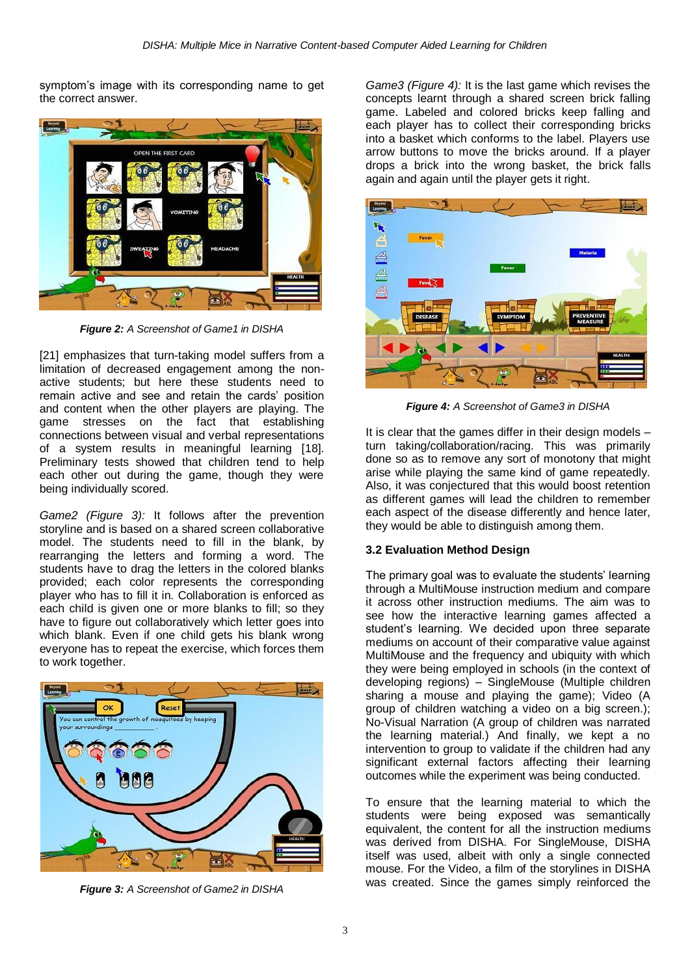symptom's image with its corresponding name to get the correct answer.



*Figure 2: A Screenshot of Game1 in DISHA*

[21] emphasizes that turn-taking model suffers from a limitation of decreased engagement among the nonactive students; but here these students need to remain active and see and retain the cards" position and content when the other players are playing. The game stresses on the fact that establishing connections between visual and verbal representations of a system results in meaningful learning [18]. Preliminary tests showed that children tend to help each other out during the game, though they were being individually scored.

*Game2 (Figure 3):* It follows after the prevention storyline and is based on a shared screen collaborative model. The students need to fill in the blank, by rearranging the letters and forming a word. The students have to drag the letters in the colored blanks provided; each color represents the corresponding player who has to fill it in. Collaboration is enforced as each child is given one or more blanks to fill; so they have to figure out collaboratively which letter goes into which blank. Even if one child gets his blank wrong everyone has to repeat the exercise, which forces them to work together.



*Figure 3: A Screenshot of Game2 in DISHA*

*Game3 (Figure 4):* It is the last game which revises the concepts learnt through a shared screen brick falling game. Labeled and colored bricks keep falling and each player has to collect their corresponding bricks into a basket which conforms to the label. Players use arrow buttons to move the bricks around. If a player drops a brick into the wrong basket, the brick falls again and again until the player gets it right.



*Figure 4: A Screenshot of Game3 in DISHA*

It is clear that the games differ in their design models – turn taking/collaboration/racing. This was primarily done so as to remove any sort of monotony that might arise while playing the same kind of game repeatedly. Also, it was conjectured that this would boost retention as different games will lead the children to remember each aspect of the disease differently and hence later, they would be able to distinguish among them.

#### **3.2 Evaluation Method Design**

The primary goal was to evaluate the students' learning through a MultiMouse instruction medium and compare it across other instruction mediums. The aim was to see how the interactive learning games affected a student's learning. We decided upon three separate mediums on account of their comparative value against MultiMouse and the frequency and ubiquity with which they were being employed in schools (in the context of developing regions) – SingleMouse (Multiple children sharing a mouse and playing the game); Video (A group of children watching a video on a big screen.); No-Visual Narration (A group of children was narrated the learning material.) And finally, we kept a no intervention to group to validate if the children had any significant external factors affecting their learning outcomes while the experiment was being conducted.

To ensure that the learning material to which the students were being exposed was semantically equivalent, the content for all the instruction mediums was derived from DISHA. For SingleMouse, DISHA itself was used, albeit with only a single connected mouse. For the Video, a film of the storylines in DISHA was created. Since the games simply reinforced the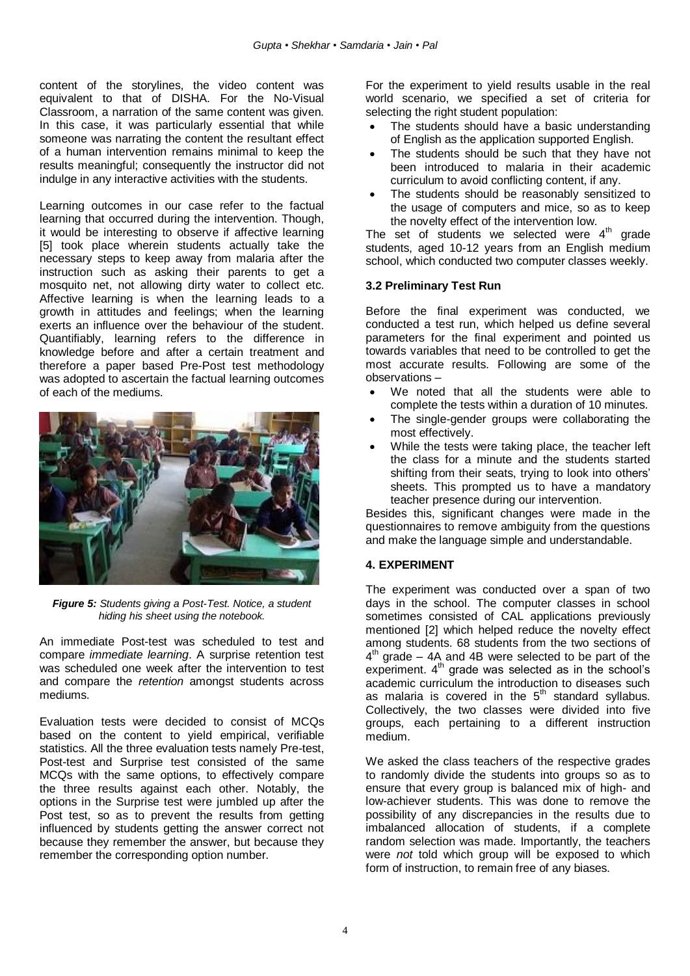content of the storylines, the video content was equivalent to that of DISHA. For the No-Visual Classroom, a narration of the same content was given. In this case, it was particularly essential that while someone was narrating the content the resultant effect of a human intervention remains minimal to keep the results meaningful; consequently the instructor did not indulge in any interactive activities with the students.

Learning outcomes in our case refer to the factual learning that occurred during the intervention. Though, it would be interesting to observe if affective learning [5] took place wherein students actually take the necessary steps to keep away from malaria after the instruction such as asking their parents to get a mosquito net, not allowing dirty water to collect etc. Affective learning is when the learning leads to a growth in attitudes and feelings; when the learning exerts an influence over the behaviour of the student. Quantifiably, learning refers to the difference in knowledge before and after a certain treatment and therefore a paper based Pre-Post test methodology was adopted to ascertain the factual learning outcomes of each of the mediums.



*Figure 5: Students giving a Post-Test. Notice, a student hiding his sheet using the notebook.*

An immediate Post-test was scheduled to test and compare *immediate learning*. A surprise retention test was scheduled one week after the intervention to test and compare the *retention* amongst students across mediums.

Evaluation tests were decided to consist of MCQs based on the content to yield empirical, verifiable statistics. All the three evaluation tests namely Pre-test, Post-test and Surprise test consisted of the same MCQs with the same options, to effectively compare the three results against each other. Notably, the options in the Surprise test were jumbled up after the Post test, so as to prevent the results from getting influenced by students getting the answer correct not because they remember the answer, but because they remember the corresponding option number.

For the experiment to yield results usable in the real world scenario, we specified a set of criteria for selecting the right student population:

- The students should have a basic understanding of English as the application supported English.
- The students should be such that they have not been introduced to malaria in their academic curriculum to avoid conflicting content, if any.
- The students should be reasonably sensitized to the usage of computers and mice, so as to keep the novelty effect of the intervention low.

The set of students we selected were  $4<sup>th</sup>$  grade students, aged 10-12 years from an English medium school, which conducted two computer classes weekly.

#### **3.2 Preliminary Test Run**

Before the final experiment was conducted, we conducted a test run, which helped us define several parameters for the final experiment and pointed us towards variables that need to be controlled to get the most accurate results. Following are some of the observations –

- We noted that all the students were able to complete the tests within a duration of 10 minutes.
- The single-gender groups were collaborating the most effectively.
- While the tests were taking place, the teacher left the class for a minute and the students started shifting from their seats, trying to look into others" sheets. This prompted us to have a mandatory teacher presence during our intervention.

Besides this, significant changes were made in the questionnaires to remove ambiguity from the questions and make the language simple and understandable.

## **4. EXPERIMENT**

The experiment was conducted over a span of two days in the school. The computer classes in school sometimes consisted of CAL applications previously mentioned [2] which helped reduce the novelty effect among students. 68 students from the two sections of  $4<sup>th</sup>$  grade – 4A and 4B were selected to be part of the experiment. 4th grade was selected as in the school"s academic curriculum the introduction to diseases such acquering curriculum are incorporated to discussed as malaria is covered in the  $5<sup>th</sup>$  standard syllabus. Collectively, the two classes were divided into five groups, each pertaining to a different instruction medium.

We asked the class teachers of the respective grades to randomly divide the students into groups so as to ensure that every group is balanced mix of high- and low-achiever students. This was done to remove the possibility of any discrepancies in the results due to imbalanced allocation of students, if a complete random selection was made. Importantly, the teachers were *not* told which group will be exposed to which form of instruction, to remain free of any biases.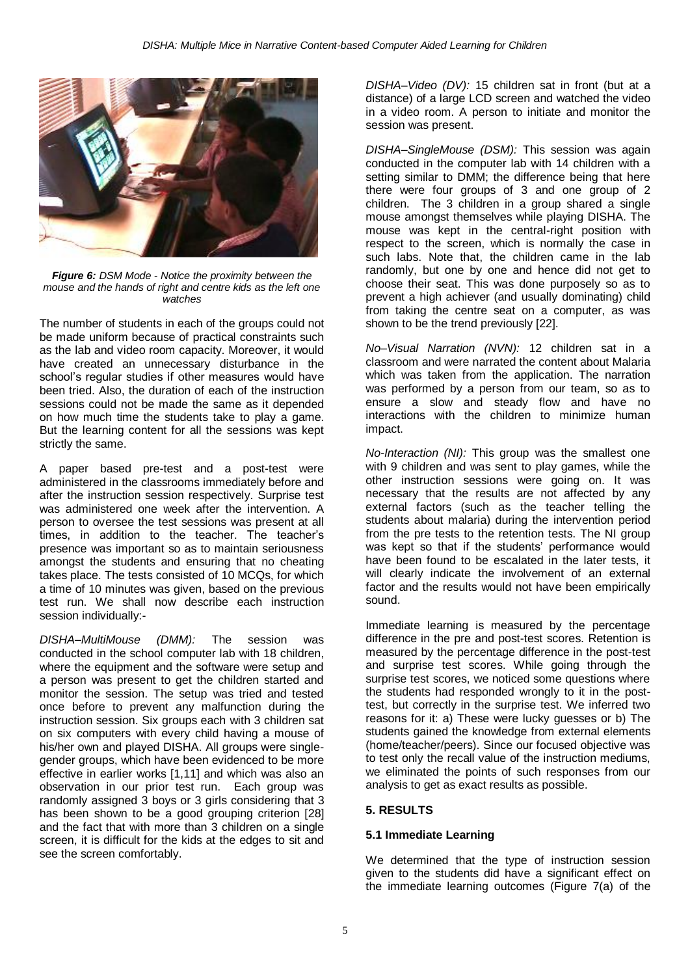

*Figure 6: DSM Mode - Notice the proximity between the mouse and the hands of right and centre kids as the left one watches*

The number of students in each of the groups could not be made uniform because of practical constraints such as the lab and video room capacity. Moreover, it would have created an unnecessary disturbance in the school"s regular studies if other measures would have been tried. Also, the duration of each of the instruction sessions could not be made the same as it depended on how much time the students take to play a game. But the learning content for all the sessions was kept strictly the same.

A paper based pre-test and a post-test were administered in the classrooms immediately before and after the instruction session respectively. Surprise test was administered one week after the intervention. A person to oversee the test sessions was present at all times, in addition to the teacher. The teacher"s presence was important so as to maintain seriousness amongst the students and ensuring that no cheating takes place. The tests consisted of 10 MCQs, for which a time of 10 minutes was given, based on the previous test run. We shall now describe each instruction session individually:-

*DISHA–MultiMouse (DMM):* The session was conducted in the school computer lab with 18 children, where the equipment and the software were setup and a person was present to get the children started and monitor the session. The setup was tried and tested once before to prevent any malfunction during the instruction session. Six groups each with 3 children sat on six computers with every child having a mouse of his/her own and played DISHA. All groups were singlegender groups, which have been evidenced to be more effective in earlier works [1,11] and which was also an observation in our prior test run. Each group was randomly assigned 3 boys or 3 girls considering that 3 has been shown to be a good grouping criterion [28] and the fact that with more than 3 children on a single screen, it is difficult for the kids at the edges to sit and see the screen comfortably.

*DISHA–Video (DV):* 15 children sat in front (but at a distance) of a large LCD screen and watched the video in a video room. A person to initiate and monitor the session was present.

*DISHA–SingleMouse (DSM):* This session was again conducted in the computer lab with 14 children with a setting similar to DMM; the difference being that here there were four groups of 3 and one group of 2 children. The 3 children in a group shared a single mouse amongst themselves while playing DISHA. The mouse was kept in the central-right position with respect to the screen, which is normally the case in such labs. Note that, the children came in the lab randomly, but one by one and hence did not get to choose their seat. This was done purposely so as to prevent a high achiever (and usually dominating) child from taking the centre seat on a computer, as was shown to be the trend previously [22].

*No–Visual Narration (NVN):* 12 children sat in a classroom and were narrated the content about Malaria which was taken from the application. The narration was performed by a person from our team, so as to ensure a slow and steady flow and have no interactions with the children to minimize human impact.

*No-Interaction (NI):* This group was the smallest one with 9 children and was sent to play games, while the other instruction sessions were going on. It was necessary that the results are not affected by any external factors (such as the teacher telling the students about malaria) during the intervention period from the pre tests to the retention tests. The NI group was kept so that if the students' performance would have been found to be escalated in the later tests, it will clearly indicate the involvement of an external factor and the results would not have been empirically sound.

Immediate learning is measured by the percentage difference in the pre and post-test scores. Retention is measured by the percentage difference in the post-test and surprise test scores. While going through the surprise test scores, we noticed some questions where the students had responded wrongly to it in the posttest, but correctly in the surprise test. We inferred two reasons for it: a) These were lucky guesses or b) The students gained the knowledge from external elements (home/teacher/peers). Since our focused objective was to test only the recall value of the instruction mediums, we eliminated the points of such responses from our analysis to get as exact results as possible.

## **5. RESULTS**

#### **5.1 Immediate Learning**

We determined that the type of instruction session given to the students did have a significant effect on the immediate learning outcomes (Figure 7(a) of the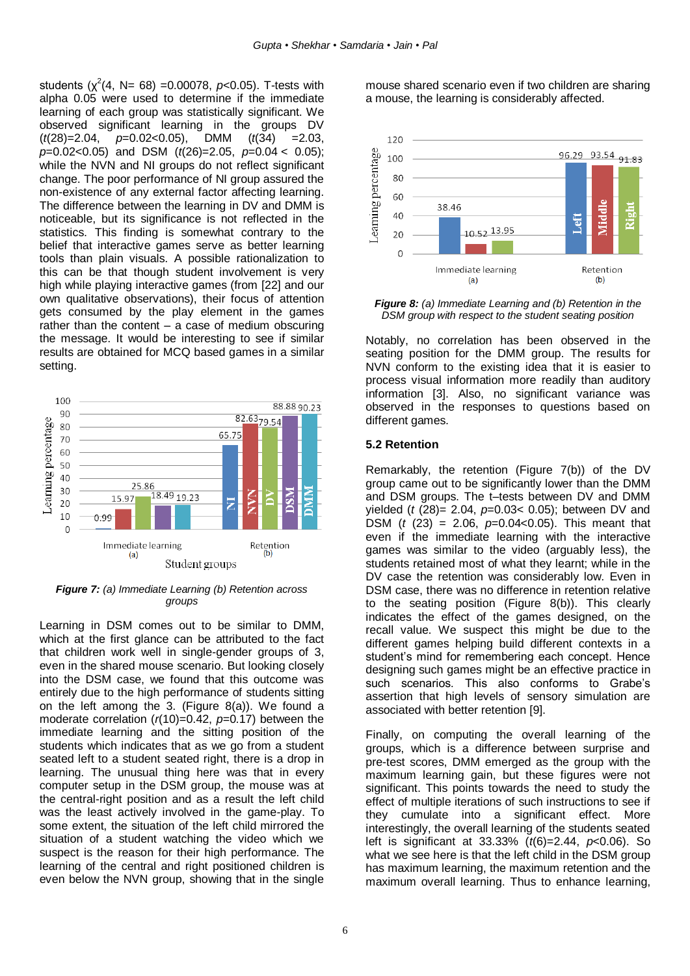students  $(\chi^2(4, N= 68) = 0.00078, p<0.05)$ . T-tests with alpha 0.05 were used to determine if the immediate learning of each group was statistically significant. We observed significant learning in the groups DV (*t*(28)=2.04, *p*=0.02<0.05), DMM (*t*(34) =2.03, *p*=0.02<0.05) and DSM (*t*(26)=2.05, *p*=0.04 < 0.05); while the NVN and NI groups do not reflect significant change. The poor performance of NI group assured the non-existence of any external factor affecting learning. The difference between the learning in DV and DMM is noticeable, but its significance is not reflected in the statistics. This finding is somewhat contrary to the belief that interactive games serve as better learning tools than plain visuals. A possible rationalization to this can be that though student involvement is very high while playing interactive games (from [22] and our own qualitative observations), their focus of attention gets consumed by the play element in the games rather than the content  $-$  a case of medium obscuring the message. It would be interesting to see if similar results are obtained for MCQ based games in a similar setting.



*Figure 7: (a) Immediate Learning (b) Retention across groups*

Learning in DSM comes out to be similar to DMM, which at the first glance can be attributed to the fact that children work well in single-gender groups of 3, even in the shared mouse scenario. But looking closely into the DSM case, we found that this outcome was entirely due to the high performance of students sitting on the left among the 3. (Figure 8(a)). We found a moderate correlation (*r*(10)=0.42, *p=*0.17) between the immediate learning and the sitting position of the students which indicates that as we go from a student seated left to a student seated right, there is a drop in learning. The unusual thing here was that in every computer setup in the DSM group, the mouse was at the central-right position and as a result the left child was the least actively involved in the game-play. To some extent, the situation of the left child mirrored the situation of a student watching the video which we suspect is the reason for their high performance. The learning of the central and right positioned children is even below the NVN group, showing that in the single

mouse shared scenario even if two children are sharing a mouse, the learning is considerably affected.



*Figure 8: (a) Immediate Learning and (b) Retention in the DSM group with respect to the student seating position*

Notably, no correlation has been observed in the seating position for the DMM group. The results for NVN conform to the existing idea that it is easier to process visual information more readily than auditory information [3]. Also, no significant variance was observed in the responses to questions based on different games.

#### **5.2 Retention**

Remarkably, the retention (Figure 7(b)) of the DV group came out to be significantly lower than the DMM and DSM groups. The t–tests between DV and DMM yielded (*t* (28)= 2.04, *p*=0.03< 0.05); between DV and DSM (*t* (23) = 2.06, *p*=0.04<0.05). This meant that even if the immediate learning with the interactive games was similar to the video (arguably less), the students retained most of what they learnt; while in the DV case the retention was considerably low. Even in DSM case, there was no difference in retention relative to the seating position (Figure 8(b)). This clearly indicates the effect of the games designed, on the recall value. We suspect this might be due to the different games helping build different contexts in a student"s mind for remembering each concept. Hence designing such games might be an effective practice in such scenarios. This also conforms to Grabe's assertion that high levels of sensory simulation are associated with better retention [9].

Finally, on computing the overall learning of the groups, which is a difference between surprise and pre-test scores, DMM emerged as the group with the maximum learning gain, but these figures were not significant. This points towards the need to study the effect of multiple iterations of such instructions to see if they cumulate into a significant effect. More interestingly, the overall learning of the students seated left is significant at 33.33% (*t*(6)=2.44, *p*<0.06). So what we see here is that the left child in the DSM group has maximum learning, the maximum retention and the maximum overall learning. Thus to enhance learning,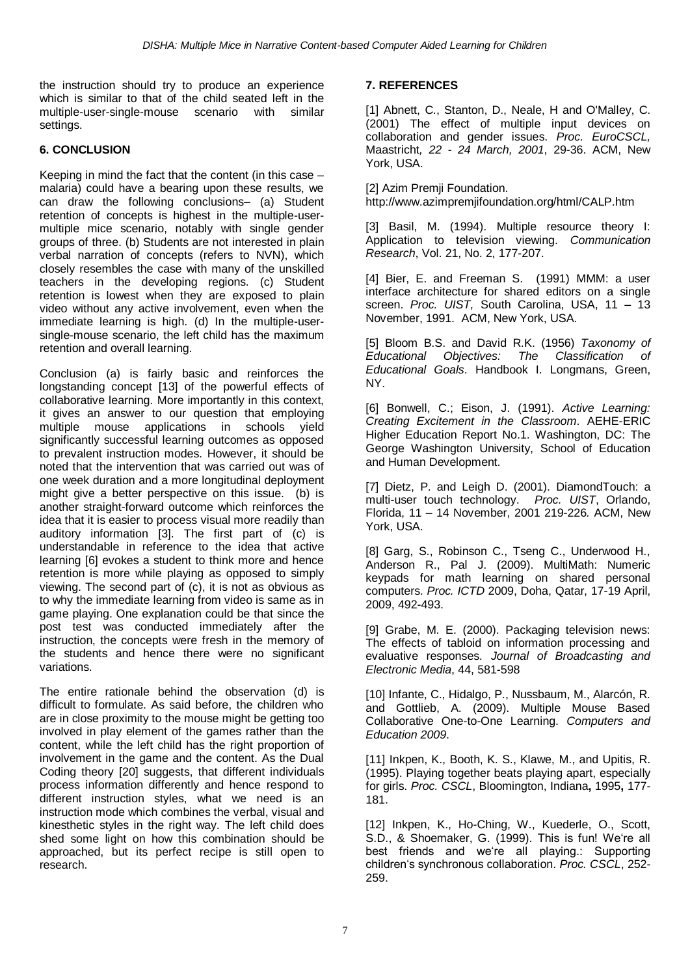the instruction should try to produce an experience which is similar to that of the child seated left in the multiple-user-single-mouse scenario with similar settings.

### **6. CONCLUSION**

Keeping in mind the fact that the content (in this case – malaria) could have a bearing upon these results, we can draw the following conclusions– (a) Student retention of concepts is highest in the multiple-usermultiple mice scenario, notably with single gender groups of three. (b) Students are not interested in plain verbal narration of concepts (refers to NVN), which closely resembles the case with many of the unskilled teachers in the developing regions. (c) Student retention is lowest when they are exposed to plain video without any active involvement, even when the immediate learning is high. (d) In the multiple-usersingle-mouse scenario, the left child has the maximum retention and overall learning.

Conclusion (a) is fairly basic and reinforces the longstanding concept [13] of the powerful effects of collaborative learning. More importantly in this context, it gives an answer to our question that employing multiple mouse applications in schools yield significantly successful learning outcomes as opposed to prevalent instruction modes. However, it should be noted that the intervention that was carried out was of one week duration and a more longitudinal deployment might give a better perspective on this issue. (b) is another straight-forward outcome which reinforces the idea that it is easier to process visual more readily than auditory information [3]. The first part of (c) is understandable in reference to the idea that active learning [6] evokes a student to think more and hence retention is more while playing as opposed to simply viewing. The second part of (c), it is not as obvious as to why the immediate learning from video is same as in game playing. One explanation could be that since the post test was conducted immediately after the instruction, the concepts were fresh in the memory of the students and hence there were no significant variations.

The entire rationale behind the observation (d) is difficult to formulate. As said before, the children who are in close proximity to the mouse might be getting too involved in play element of the games rather than the content, while the left child has the right proportion of involvement in the game and the content. As the Dual Coding theory [20] suggests, that different individuals process information differently and hence respond to different instruction styles, what we need is an instruction mode which combines the verbal, visual and kinesthetic styles in the right way. The left child does shed some light on how this combination should be approached, but its perfect recipe is still open to research.

## **7. REFERENCES**

[1] Abnett, C., Stanton, D., Neale, H and O'Malley, C. (2001) The effect of multiple input devices on collaboration and gender issues. *Proc. EuroCSCL,*  Maastricht*, 22 - 24 March, 2001*, 29-36. ACM, New York, USA.

[2] Azim Premii Foundation. http://www.azimpremjifoundation.org/html/CALP.htm

[3] Basil, M. (1994). Multiple resource theory I: Application to television viewing. *Communication Research*, Vol. 21, No. 2, 177-207.

[4] Bier, E. and Freeman S. (1991) MMM: a user interface architecture for shared editors on a single screen. *Proc. UIST,* South Carolina, USA, 11 – 13 November, 1991. ACM, New York, USA.

[5] Bloom B.S. and David R.K. (1956) *Taxonomy of Educational Objectives: The Classification of Educational Goals*. Handbook I. Longmans, Green, NY.

[6] Bonwell, C.; Eison, J. (1991). *Active Learning: Creating Excitement in the Classroom*. AEHE-ERIC Higher Education Report No.1. Washington, DC: The George Washington University, School of Education and Human Development.

[7] Dietz, P. and Leigh D. (2001). DiamondTouch: a multi-user touch technology. *Proc. UIST*, Orlando, Florida, 11 – 14 November, 2001 219-226*.* ACM, New York, USA.

[8] Garg, S., Robinson C., Tseng C., Underwood H., Anderson R., Pal J. (2009). MultiMath: Numeric keypads for math learning on shared personal computers. *Proc. ICTD* 2009, Doha, Qatar, 17-19 April, 2009, 492-493.

[9] Grabe, M. E. (2000). Packaging television news: The effects of tabloid on information processing and evaluative responses. *Journal of Broadcasting and Electronic Media*, 44, 581-598

[10] Infante, C., Hidalgo, P., Nussbaum, M., Alarcón, R. and Gottlieb, A. (2009). Multiple Mouse Based Collaborative One-to-One Learning. *Computers and Education 2009*.

[11] Inkpen, K., Booth, K. S., Klawe, M., and Upitis, R. (1995). Playing together beats playing apart, especially for girls. *Proc. CSCL*, Bloomington, Indiana**,** 1995**,** 177- 181.

[12] Inkpen, K., Ho-Ching, W., Kuederle, O., Scott, S.D., & Shoemaker, G. (1999). This is fun! We"re all best friends and we're all playing.: Supporting children"s synchronous collaboration. *Proc. CSCL*, 252- 259.